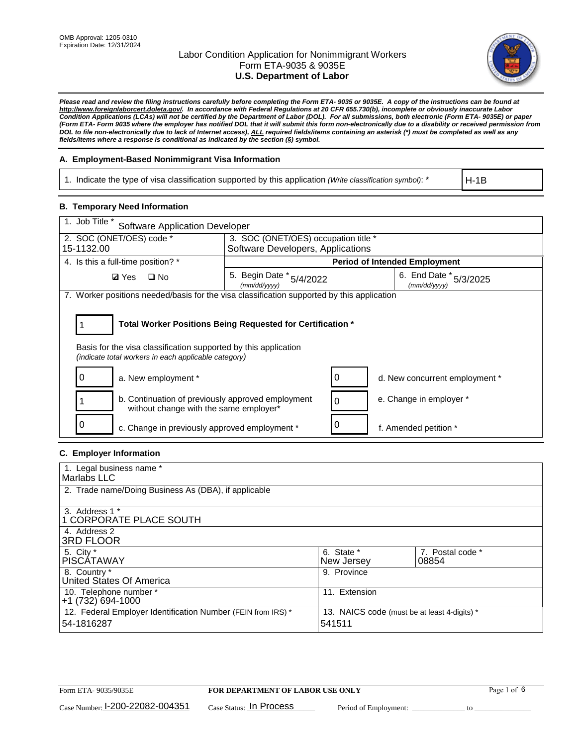

*Please read and review the filing instructions carefully before completing the Form ETA- 9035 or 9035E. A copy of the instructions can be found at http://www.foreignlaborcert.doleta.gov/. In accordance with Federal Regulations at 20 CFR 655.730(b), incomplete or obviously inaccurate Labor Condition Applications (LCAs) will not be certified by the Department of Labor (DOL). For all submissions, both electronic (Form ETA- 9035E) or paper (Form ETA- Form 9035 where the employer has notified DOL that it will submit this form non-electronically due to a disability or received permission from DOL to file non-electronically due to lack of Internet access), ALL required fields/items containing an asterisk (\*) must be completed as well as any fields/items where a response is conditional as indicated by the section (§) symbol.* 

### **A. Employment-Based Nonimmigrant Visa Information**

1. Indicate the type of visa classification supported by this application *(Write classification symbol)*: \*

H-1B

#### **B. Temporary Need Information**

| 1. Job Title *<br><b>Software Application Developer</b>                                                                                                                               |                                          |   |                                        |  |  |
|---------------------------------------------------------------------------------------------------------------------------------------------------------------------------------------|------------------------------------------|---|----------------------------------------|--|--|
| 2. SOC (ONET/OES) code *                                                                                                                                                              | 3. SOC (ONET/OES) occupation title *     |   |                                        |  |  |
| 15-1132.00                                                                                                                                                                            | Software Developers, Applications        |   |                                        |  |  |
| 4. Is this a full-time position? *                                                                                                                                                    |                                          |   | <b>Period of Intended Employment</b>   |  |  |
| <b>Ø</b> Yes<br>$\Box$ No                                                                                                                                                             | 5. Begin Date * 5/4/2022<br>(mm/dd/yyyy) |   | 6. End Date * 5/3/2025<br>(mm/dd/yyyy) |  |  |
| 7. Worker positions needed/basis for the visa classification supported by this application                                                                                            |                                          |   |                                        |  |  |
| Total Worker Positions Being Requested for Certification *<br>Basis for the visa classification supported by this application<br>(indicate total workers in each applicable category) |                                          |   |                                        |  |  |
| a. New employment *                                                                                                                                                                   |                                          |   | d. New concurrent employment *         |  |  |
| b. Continuation of previously approved employment<br>without change with the same employer*                                                                                           |                                          |   | e. Change in employer *                |  |  |
| c. Change in previously approved employment *                                                                                                                                         |                                          | 0 | f. Amended petition *                  |  |  |

### **C. Employer Information**

| 1. Legal business name *                                     |                                              |                  |
|--------------------------------------------------------------|----------------------------------------------|------------------|
| Marlabs LLC                                                  |                                              |                  |
| 2. Trade name/Doing Business As (DBA), if applicable         |                                              |                  |
|                                                              |                                              |                  |
| 3. Address 1 *                                               |                                              |                  |
| 1 CORPORATE PLACE SOUTH                                      |                                              |                  |
| 4. Address 2                                                 |                                              |                  |
| <b>3RD FLOOR</b>                                             |                                              |                  |
| 5. City *                                                    | 6. State *                                   | 7. Postal code * |
| PISCÁTAWAY                                                   | New Jersey                                   | 08854            |
| 8. Country *                                                 | 9. Province                                  |                  |
| United States Of America                                     |                                              |                  |
| 10. Telephone number *                                       | 11. Extension                                |                  |
| $+1(732)694-1000$                                            |                                              |                  |
| 12. Federal Employer Identification Number (FEIN from IRS) * | 13. NAICS code (must be at least 4-digits) * |                  |
| 54-1816287                                                   | 541511                                       |                  |
|                                                              |                                              |                  |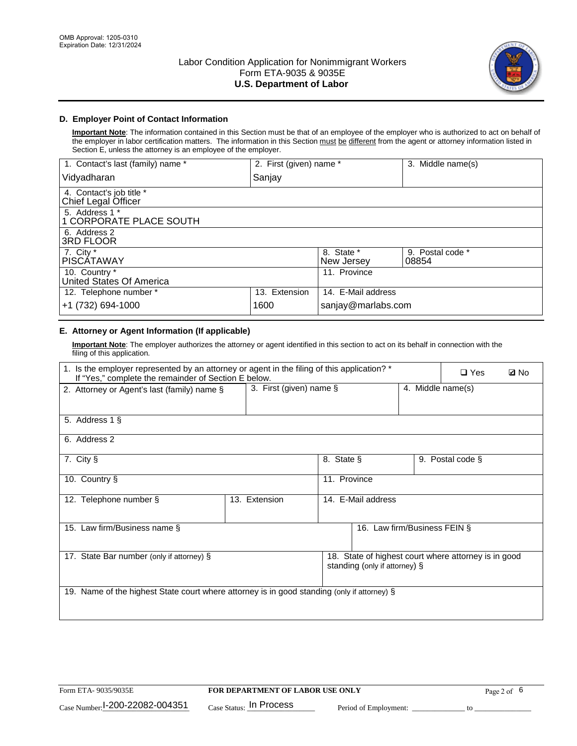

## **D. Employer Point of Contact Information**

**Important Note**: The information contained in this Section must be that of an employee of the employer who is authorized to act on behalf of the employer in labor certification matters. The information in this Section must be different from the agent or attorney information listed in Section E, unless the attorney is an employee of the employer.

| 1. Contact's last (family) name *               | 2. First (given) name * |                          | 3. Middle name(s)         |
|-------------------------------------------------|-------------------------|--------------------------|---------------------------|
| Vidyadharan                                     | Sanjay                  |                          |                           |
| 4. Contact's job title *<br>Chief Legal Officer |                         |                          |                           |
| 5. Address 1 *<br>1 CORPORATE PLACE SOUTH       |                         |                          |                           |
| 6. Address 2<br>3RD FLOOR                       |                         |                          |                           |
| 7. City $*$<br><b>PISCÁTAWAY</b>                |                         | 8. State *<br>New Jersey | 9. Postal code *<br>08854 |
| 10. Country *<br>United States Of America       |                         | 11. Province             |                           |
| 12. Telephone number *                          | 13. Extension           | 14. E-Mail address       |                           |
| +1 (732) 694-1000                               | 1600                    | sanjay@marlabs.com       |                           |

## **E. Attorney or Agent Information (If applicable)**

**Important Note**: The employer authorizes the attorney or agent identified in this section to act on its behalf in connection with the filing of this application.

| 1. Is the employer represented by an attorney or agent in the filing of this application? *<br>If "Yes," complete the remainder of Section E below. |                         |              |                               |                   | $\Box$ Yes                                           | <b>ØNo</b> |
|-----------------------------------------------------------------------------------------------------------------------------------------------------|-------------------------|--------------|-------------------------------|-------------------|------------------------------------------------------|------------|
| 2. Attorney or Agent's last (family) name §                                                                                                         | 3. First (given) name § |              |                               | 4. Middle name(s) |                                                      |            |
| 5. Address 1 §                                                                                                                                      |                         |              |                               |                   |                                                      |            |
| 6. Address 2                                                                                                                                        |                         |              |                               |                   |                                                      |            |
| 7. City §                                                                                                                                           |                         | 8. State §   |                               |                   | 9. Postal code §                                     |            |
| 10. Country §                                                                                                                                       |                         | 11. Province |                               |                   |                                                      |            |
| 12. Telephone number §                                                                                                                              | 13. Extension           |              | 14. E-Mail address            |                   |                                                      |            |
| 15. Law firm/Business name §                                                                                                                        |                         |              | 16. Law firm/Business FEIN §  |                   |                                                      |            |
| 17. State Bar number (only if attorney) §                                                                                                           |                         |              | standing (only if attorney) § |                   | 18. State of highest court where attorney is in good |            |
| 19. Name of the highest State court where attorney is in good standing (only if attorney) §                                                         |                         |              |                               |                   |                                                      |            |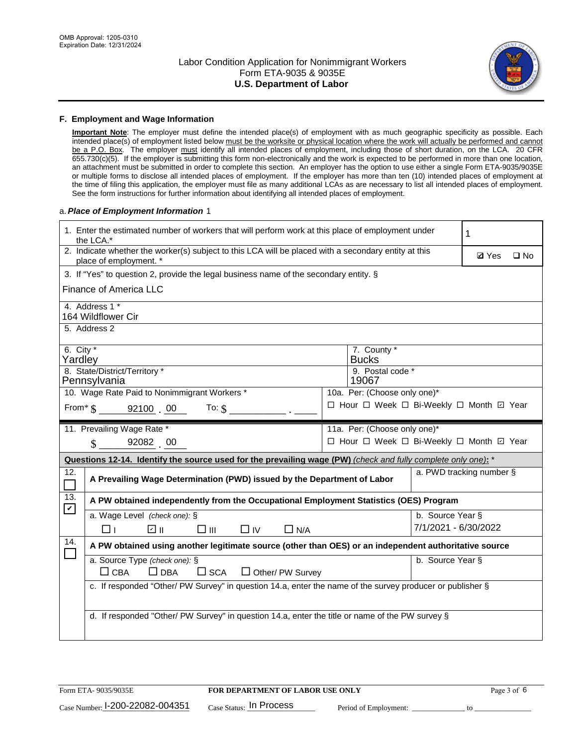

#### **F. Employment and Wage Information**

**Important Note**: The employer must define the intended place(s) of employment with as much geographic specificity as possible. Each intended place(s) of employment listed below must be the worksite or physical location where the work will actually be performed and cannot be a P.O. Box. The employer must identify all intended places of employment, including those of short duration, on the LCA. 20 CFR 655.730(c)(5). If the employer is submitting this form non-electronically and the work is expected to be performed in more than one location, an attachment must be submitted in order to complete this section. An employer has the option to use either a single Form ETA-9035/9035E or multiple forms to disclose all intended places of employment. If the employer has more than ten (10) intended places of employment at the time of filing this application, the employer must file as many additional LCAs as are necessary to list all intended places of employment. See the form instructions for further information about identifying all intended places of employment.

#### a.*Place of Employment Information* 1

|                                                                              | 1. Enter the estimated number of workers that will perform work at this place of employment under<br>the LCA.*                 |  | 1                                        |                      |                          |              |  |
|------------------------------------------------------------------------------|--------------------------------------------------------------------------------------------------------------------------------|--|------------------------------------------|----------------------|--------------------------|--------------|--|
|                                                                              | 2. Indicate whether the worker(s) subject to this LCA will be placed with a secondary entity at this<br>place of employment. * |  |                                          |                      |                          | $\square$ No |  |
|                                                                              | 3. If "Yes" to question 2, provide the legal business name of the secondary entity. §                                          |  |                                          |                      |                          |              |  |
|                                                                              | <b>Finance of America LLC</b>                                                                                                  |  |                                          |                      |                          |              |  |
|                                                                              | 4. Address 1 *<br>164 Wildflower Cir                                                                                           |  |                                          |                      |                          |              |  |
|                                                                              | 5. Address 2                                                                                                                   |  |                                          |                      |                          |              |  |
|                                                                              | 6. City $*$<br>7. County *<br>Yardley<br><b>Bucks</b>                                                                          |  |                                          |                      |                          |              |  |
| 8. State/District/Territory *<br>9. Postal code *<br>19067<br>Pennsylvania   |                                                                                                                                |  |                                          |                      |                          |              |  |
| 10. Wage Rate Paid to Nonimmigrant Workers *<br>10a. Per: (Choose only one)* |                                                                                                                                |  |                                          |                      |                          |              |  |
|                                                                              | □ Hour □ Week □ Bi-Weekly □ Month 回 Year<br>From $\frac{1}{5}$ 92100 00<br>To: $\hat{\mathbf{S}}$                              |  |                                          |                      |                          |              |  |
|                                                                              | 11. Prevailing Wage Rate *<br>11a. Per: (Choose only one)*                                                                     |  |                                          |                      |                          |              |  |
|                                                                              | 92082 00<br>$\mathbf{\hat{S}}$                                                                                                 |  | □ Hour □ Week □ Bi-Weekly □ Month ☑ Year |                      |                          |              |  |
|                                                                              | Questions 12-14. Identify the source used for the prevailing wage (PW) (check and fully complete only one): *                  |  |                                          |                      |                          |              |  |
| 12.                                                                          | A Prevailing Wage Determination (PWD) issued by the Department of Labor                                                        |  |                                          |                      | a. PWD tracking number § |              |  |
| 13.                                                                          | A PW obtained independently from the Occupational Employment Statistics (OES) Program                                          |  |                                          |                      |                          |              |  |
| $\blacktriangledown$                                                         | a. Wage Level (check one): §                                                                                                   |  |                                          | b. Source Year §     |                          |              |  |
|                                                                              | ☑ ॥<br>$\square$ $\square$<br>$\Box$ IV<br>$\Box$ N/A<br>⊓⊥                                                                    |  |                                          | 7/1/2021 - 6/30/2022 |                          |              |  |
| 14.                                                                          | A PW obtained using another legitimate source (other than OES) or an independent authoritative source                          |  |                                          |                      |                          |              |  |
|                                                                              | a. Source Type (check one): §<br>$\Box$ CBA<br>$\Box$ DBA<br>$\square$ SCA<br>$\Box$ Other/ PW Survey                          |  |                                          | b. Source Year §     |                          |              |  |
|                                                                              | c. If responded "Other/ PW Survey" in question 14.a, enter the name of the survey producer or publisher §                      |  |                                          |                      |                          |              |  |
|                                                                              | d. If responded "Other/ PW Survey" in question 14.a, enter the title or name of the PW survey §                                |  |                                          |                      |                          |              |  |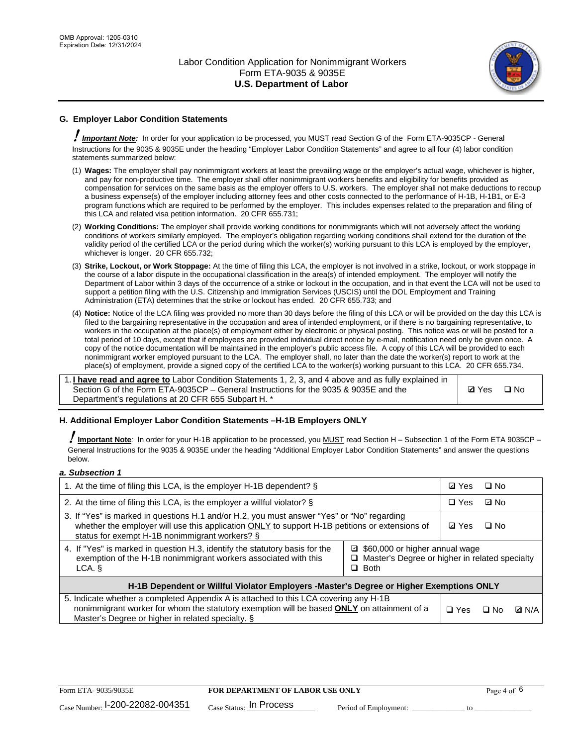

## **G. Employer Labor Condition Statements**

! *Important Note:* In order for your application to be processed, you MUST read Section G of the Form ETA-9035CP - General Instructions for the 9035 & 9035E under the heading "Employer Labor Condition Statements" and agree to all four (4) labor condition statements summarized below:

- (1) **Wages:** The employer shall pay nonimmigrant workers at least the prevailing wage or the employer's actual wage, whichever is higher, and pay for non-productive time. The employer shall offer nonimmigrant workers benefits and eligibility for benefits provided as compensation for services on the same basis as the employer offers to U.S. workers. The employer shall not make deductions to recoup a business expense(s) of the employer including attorney fees and other costs connected to the performance of H-1B, H-1B1, or E-3 program functions which are required to be performed by the employer. This includes expenses related to the preparation and filing of this LCA and related visa petition information. 20 CFR 655.731;
- (2) **Working Conditions:** The employer shall provide working conditions for nonimmigrants which will not adversely affect the working conditions of workers similarly employed. The employer's obligation regarding working conditions shall extend for the duration of the validity period of the certified LCA or the period during which the worker(s) working pursuant to this LCA is employed by the employer, whichever is longer. 20 CFR 655.732;
- (3) **Strike, Lockout, or Work Stoppage:** At the time of filing this LCA, the employer is not involved in a strike, lockout, or work stoppage in the course of a labor dispute in the occupational classification in the area(s) of intended employment. The employer will notify the Department of Labor within 3 days of the occurrence of a strike or lockout in the occupation, and in that event the LCA will not be used to support a petition filing with the U.S. Citizenship and Immigration Services (USCIS) until the DOL Employment and Training Administration (ETA) determines that the strike or lockout has ended. 20 CFR 655.733; and
- (4) **Notice:** Notice of the LCA filing was provided no more than 30 days before the filing of this LCA or will be provided on the day this LCA is filed to the bargaining representative in the occupation and area of intended employment, or if there is no bargaining representative, to workers in the occupation at the place(s) of employment either by electronic or physical posting. This notice was or will be posted for a total period of 10 days, except that if employees are provided individual direct notice by e-mail, notification need only be given once. A copy of the notice documentation will be maintained in the employer's public access file. A copy of this LCA will be provided to each nonimmigrant worker employed pursuant to the LCA. The employer shall, no later than the date the worker(s) report to work at the place(s) of employment, provide a signed copy of the certified LCA to the worker(s) working pursuant to this LCA. 20 CFR 655.734.

1. **I have read and agree to** Labor Condition Statements 1, 2, 3, and 4 above and as fully explained in Section G of the Form ETA-9035CP – General Instructions for the 9035 & 9035E and the Department's regulations at 20 CFR 655 Subpart H. \*

**Ø**Yes ロNo

#### **H. Additional Employer Labor Condition Statements –H-1B Employers ONLY**

!**Important Note***:* In order for your H-1B application to be processed, you MUST read Section H – Subsection 1 of the Form ETA 9035CP – General Instructions for the 9035 & 9035E under the heading "Additional Employer Labor Condition Statements" and answer the questions below.

#### *a. Subsection 1*

| 1. At the time of filing this LCA, is the employer H-1B dependent? §                                                                                                                                                                                          |            |      | $\square$ No |  |  |
|---------------------------------------------------------------------------------------------------------------------------------------------------------------------------------------------------------------------------------------------------------------|------------|------|--------------|--|--|
| 2. At the time of filing this LCA, is the employer a willful violator? $\S$                                                                                                                                                                                   |            |      | ⊡ No         |  |  |
| 3. If "Yes" is marked in questions H.1 and/or H.2, you must answer "Yes" or "No" regarding<br>whether the employer will use this application ONLY to support H-1B petitions or extensions of<br>status for exempt H-1B nonimmigrant workers? §                |            |      | $\Box$ No    |  |  |
| 4. If "Yes" is marked in question H.3, identify the statutory basis for the<br>■ \$60,000 or higher annual wage<br>exemption of the H-1B nonimmigrant workers associated with this<br>□ Master's Degree or higher in related specialty<br>$\Box$ Both<br>LCA. |            |      |              |  |  |
| H-1B Dependent or Willful Violator Employers -Master's Degree or Higher Exemptions ONLY                                                                                                                                                                       |            |      |              |  |  |
| 5. Indicate whether a completed Appendix A is attached to this LCA covering any H-1B<br>nonimmigrant worker for whom the statutory exemption will be based <b>ONLY</b> on attainment of a<br>Master's Degree or higher in related specialty. §                | $\Box$ Yes | ⊡ No | <b>D</b> N/A |  |  |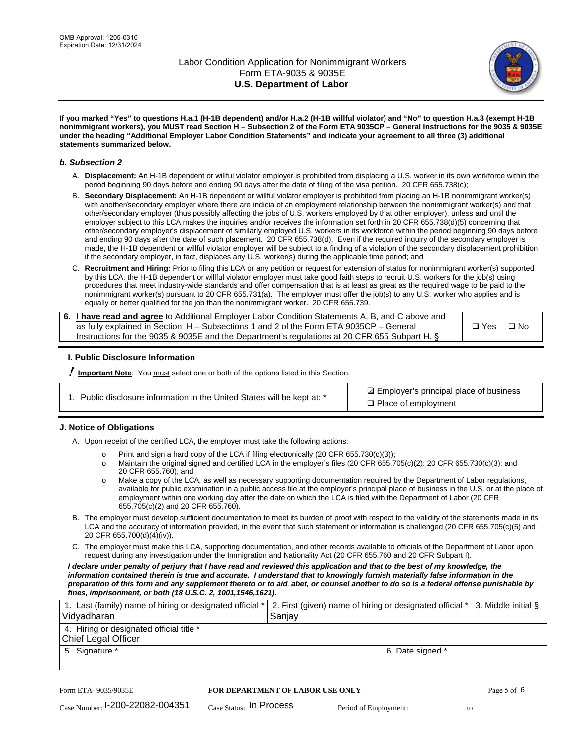

**If you marked "Yes" to questions H.a.1 (H-1B dependent) and/or H.a.2 (H-1B willful violator) and "No" to question H.a.3 (exempt H-1B nonimmigrant workers), you MUST read Section H – Subsection 2 of the Form ETA 9035CP – General Instructions for the 9035 & 9035E under the heading "Additional Employer Labor Condition Statements" and indicate your agreement to all three (3) additional statements summarized below.**

#### *b. Subsection 2*

- A. **Displacement:** An H-1B dependent or willful violator employer is prohibited from displacing a U.S. worker in its own workforce within the period beginning 90 days before and ending 90 days after the date of filing of the visa petition. 20 CFR 655.738(c);
- B. **Secondary Displacement:** An H-1B dependent or willful violator employer is prohibited from placing an H-1B nonimmigrant worker(s) with another/secondary employer where there are indicia of an employment relationship between the nonimmigrant worker(s) and that other/secondary employer (thus possibly affecting the jobs of U.S. workers employed by that other employer), unless and until the employer subject to this LCA makes the inquiries and/or receives the information set forth in 20 CFR 655.738(d)(5) concerning that other/secondary employer's displacement of similarly employed U.S. workers in its workforce within the period beginning 90 days before and ending 90 days after the date of such placement. 20 CFR 655.738(d). Even if the required inquiry of the secondary employer is made, the H-1B dependent or willful violator employer will be subject to a finding of a violation of the secondary displacement prohibition if the secondary employer, in fact, displaces any U.S. worker(s) during the applicable time period; and
- C. **Recruitment and Hiring:** Prior to filing this LCA or any petition or request for extension of status for nonimmigrant worker(s) supported by this LCA, the H-1B dependent or willful violator employer must take good faith steps to recruit U.S. workers for the job(s) using procedures that meet industry-wide standards and offer compensation that is at least as great as the required wage to be paid to the nonimmigrant worker(s) pursuant to 20 CFR 655.731(a). The employer must offer the job(s) to any U.S. worker who applies and is equally or better qualified for the job than the nonimmigrant worker. 20 CFR 655.739.

| 6. I have read and agree to Additional Employer Labor Condition Statements A, B, and C above and |       |           |
|--------------------------------------------------------------------------------------------------|-------|-----------|
| as fully explained in Section H – Subsections 1 and 2 of the Form ETA 9035CP – General           | □ Yes | $\Box$ No |
| Instructions for the 9035 & 9035E and the Department's regulations at 20 CFR 655 Subpart H. §    |       |           |

#### **I. Public Disclosure Information**

! **Important Note***:* You must select one or both of the options listed in this Section.

| 1. Public disclosure information in the United States will be kept at: * |  |  |  |  |  |  |  |
|--------------------------------------------------------------------------|--|--|--|--|--|--|--|
|--------------------------------------------------------------------------|--|--|--|--|--|--|--|

**sqrt** Employer's principal place of business □ Place of employment

#### **J. Notice of Obligations**

A. Upon receipt of the certified LCA, the employer must take the following actions:

- o Print and sign a hard copy of the LCA if filing electronically (20 CFR 655.730(c)(3));<br>
Maintain the original signed and certified LCA in the employer's files (20 CFR 655.7
- Maintain the original signed and certified LCA in the employer's files (20 CFR 655.705(c)(2); 20 CFR 655.730(c)(3); and 20 CFR 655.760); and
- o Make a copy of the LCA, as well as necessary supporting documentation required by the Department of Labor regulations, available for public examination in a public access file at the employer's principal place of business in the U.S. or at the place of employment within one working day after the date on which the LCA is filed with the Department of Labor (20 CFR 655.705(c)(2) and 20 CFR 655.760).
- B. The employer must develop sufficient documentation to meet its burden of proof with respect to the validity of the statements made in its LCA and the accuracy of information provided, in the event that such statement or information is challenged (20 CFR 655.705(c)(5) and 20 CFR 655.700(d)(4)(iv)).
- C. The employer must make this LCA, supporting documentation, and other records available to officials of the Department of Labor upon request during any investigation under the Immigration and Nationality Act (20 CFR 655.760 and 20 CFR Subpart I).

*I declare under penalty of perjury that I have read and reviewed this application and that to the best of my knowledge, the*  information contained therein is true and accurate. I understand that to knowingly furnish materially false information in the *preparation of this form and any supplement thereto or to aid, abet, or counsel another to do so is a federal offense punishable by fines, imprisonment, or both (18 U.S.C. 2, 1001,1546,1621).*

| 1. Last (family) name of hiring or designated official *   2. First (given) name of hiring or designated official *   3. Middle initial §<br>Vidyadharan | Saniav           |  |
|----------------------------------------------------------------------------------------------------------------------------------------------------------|------------------|--|
| 4. Hiring or designated official title *<br>Chief Legal Officer                                                                                          |                  |  |
| 5. Signature *                                                                                                                                           | 6. Date signed * |  |

| Form ETA-9035/9035E             | <b>FOR DEPARTMENT OF LABOR USE ONLY</b> |                       | Page 5 of 6 |
|---------------------------------|-----------------------------------------|-----------------------|-------------|
| Case Number: 1-200-22082-004351 | $_{\rm Case~S status:}$ In Process      | Period of Employment: |             |